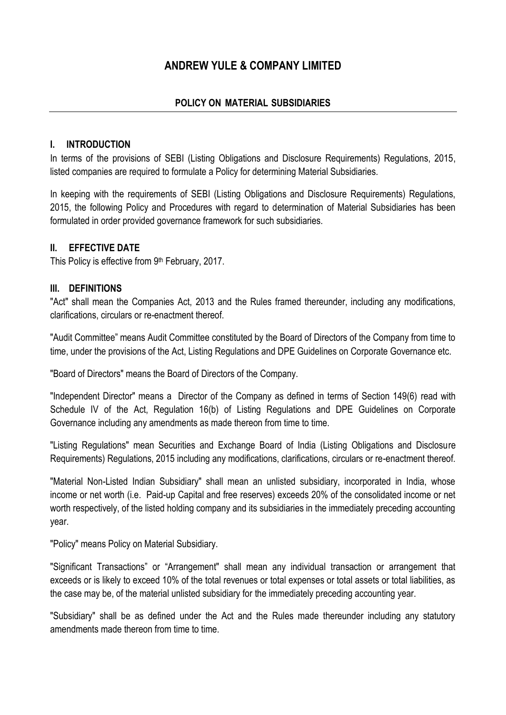# **ANDREW YULE & COMPANY LIMITED**

# **POLICY ON MATERIAL SUBSIDIARIES**

### **I. INTRODUCTION**

In terms of the provisions of SEBI (Listing Obligations and Disclosure Requirements) Regulations, 2015, listed companies are required to formulate a Policy for determining Material Subsidiaries.

In keeping with the requirements of SEBI (Listing Obligations and Disclosure Requirements) Regulations, 2015, the following Policy and Procedures with regard to determination of Material Subsidiaries has been formulated in order provided governance framework for such subsidiaries.

### **II. EFFECTIVE DATE**

This Policy is effective from 9<sup>th</sup> February, 2017.

### **III. DEFINITIONS**

"Act" shall mean the Companies Act, 2013 and the Rules framed thereunder, including any modifications, clarifications, circulars or re-enactment thereof.

"Audit Committee" means Audit Committee constituted by the Board of Directors of the Company from time to time, under the provisions of the Act, Listing Regulations and DPE Guidelines on Corporate Governance etc.

"Board of Directors" means the Board of Directors of the Company.

"Independent Director" means a Director of the Company as defined in terms of Section 149(6) read with Schedule IV of the Act, Regulation 16(b) of Listing Regulations and DPE Guidelines on Corporate Governance including any amendments as made thereon from time to time.

"Listing Regulations" mean Securities and Exchange Board of India (Listing Obligations and Disclosure Requirements) Regulations, 2015 including any modifications, clarifications, circulars or re-enactment thereof.

"Material Non-Listed Indian Subsidiary" shall mean an unlisted subsidiary, incorporated in India, whose income or net worth (i.e. Paid-up Capital and free reserves) exceeds 20% of the consolidated income or net worth respectively, of the listed holding company and its subsidiaries in the immediately preceding accounting year.

"Policy" means Policy on Material Subsidiary.

"Significant Transactions" or "Arrangement" shall mean any individual transaction or arrangement that exceeds or is likely to exceed 10% of the total revenues or total expenses or total assets or total liabilities, as the case may be, of the material unlisted subsidiary for the immediately preceding accounting year.

"Subsidiary" shall be as defined under the Act and the Rules made thereunder including any statutory amendments made thereon from time to time.